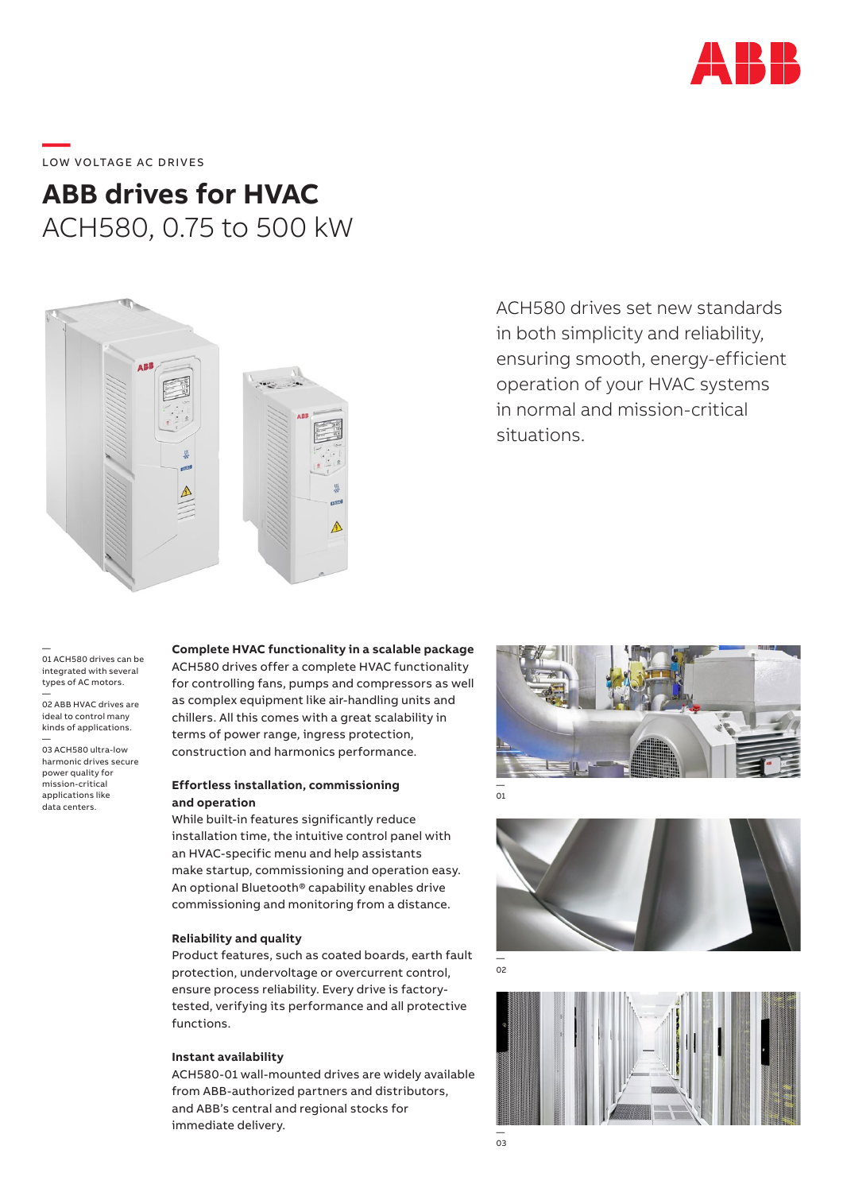

# **—**  LOW VOLTAGE AC DRIVES

## **ABB drives for HVAC** ACH580, 0.75 to 500 kW



ACH580 drives set new standards in both simplicity and reliability, ensuring smooth, energy-efficient operation of your HVAC systems in normal and mission-critical situations.

— 01 ACH580 drives can be integrated with several types of AC motors.

— 02 ABB HVAC drives are ideal to control many kinds of applications.

— 03 ACH580 ultra-low harmonic drives secure power quality for mission-critical applications like data centers.

#### **Complete HVAC functionality in a scalable package** ACH580 drives offer a complete HVAC functionality for controlling fans, pumps and compressors as well as complex equipment like air-handling units and chillers. All this comes with a great scalability in

**Effortless installation, commissioning** 

terms of power range, ingress protection, construction and harmonics performance.

### **and operation**

While built-in features significantly reduce installation time, the intuitive control panel with an HVAC-specific menu and help assistants make startup, commissioning and operation easy. An optional Bluetooth® capability enables drive commissioning and monitoring from a distance.

#### **Reliability and quality**

Product features, such as coated boards, earth fault protection, undervoltage or overcurrent control, ensure process reliability. Every drive is factorytested, verifying its performance and all protective functions.

#### **Instant availability**

ACH580-01 wall-mounted drives are widely available from ABB-authorized partners and distributors, and ABB's central and regional stocks for immediate delivery.



— 01